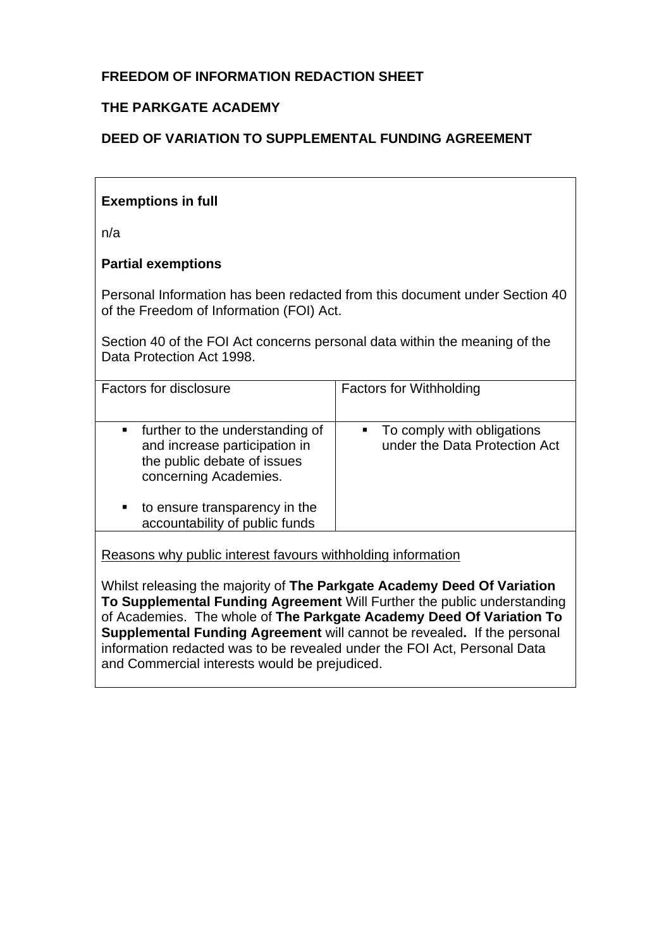# **FREEDOM OF INFORMATION REDACTION SHEET**

# **THE PARKGATE ACADEMY**

# **DEED OF VARIATION TO SUPPLEMENTAL FUNDING AGREEMENT**

## **Exemptions in full**

n/a

## **Partial exemptions**

Personal Information has been redacted from this document under Section 40 of the Freedom of Information (FOI) Act.

Section 40 of the FOI Act concerns personal data within the meaning of the Data Protection Act 1998.

| Factors for disclosure                                                                                                                                                                                          | <b>Factors for Withholding</b>                              |
|-----------------------------------------------------------------------------------------------------------------------------------------------------------------------------------------------------------------|-------------------------------------------------------------|
| • further to the understanding of<br>and increase participation in<br>the public debate of issues<br>concerning Academies.<br>to ensure transparency in the<br>$\blacksquare$<br>accountability of public funds | To comply with obligations<br>under the Data Protection Act |
|                                                                                                                                                                                                                 |                                                             |

Reasons why public interest favours withholding information

Whilst releasing the majority of **The Parkgate Academy Deed Of Variation To Supplemental Funding Agreement** Will Further the public understanding of Academies. The whole of **The Parkgate Academy Deed Of Variation To Supplemental Funding Agreement** will cannot be revealed**.** If the personal information redacted was to be revealed under the FOI Act, Personal Data and Commercial interests would be prejudiced.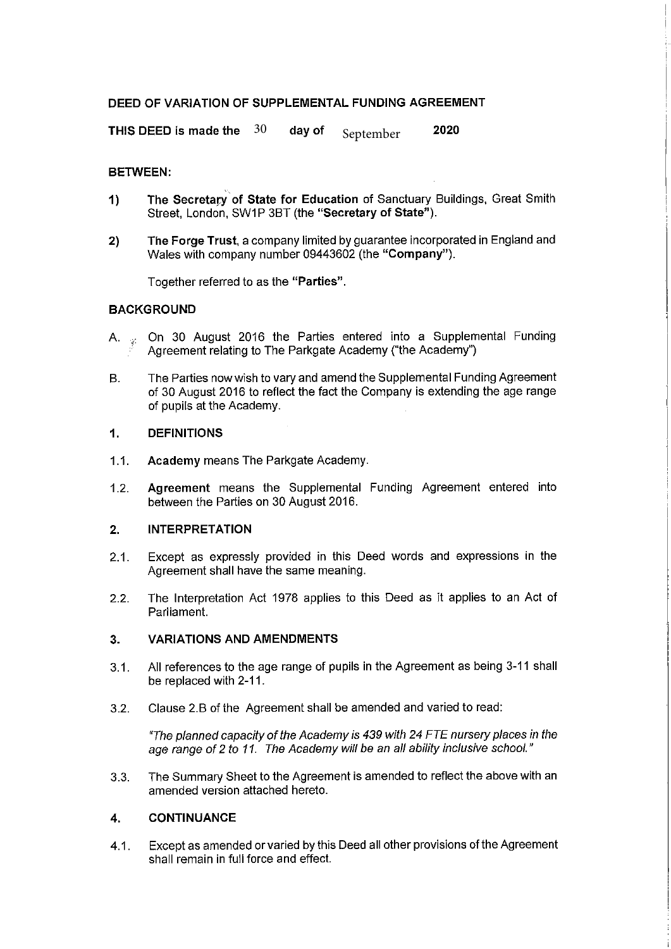### DEED OF VARIATION OF SUPPLEMENTAL FUNDING AGREEMENT

THIS DEED is made the  $30$ 2020 day of September

### **RETWEEN:**

- The Secretary of State for Education of Sanctuary Buildings, Great Smith  $\overline{1}$ Street, London, SW1P 3BT (the "Secretary of State").
- The Forge Trust, a company limited by guarantee incorporated in England and  $2)$ Wales with company number 09443602 (the "Company").

Together referred to as the "Parties".

### **BACKGROUND**

- On 30 August 2016 the Parties entered into a Supplemental Funding  $A_{\cdot}$ Agreement relating to The Parkgate Academy ("the Academy")
- The Parties now wish to vary and amend the Supplemental Funding Agreement  $B<sub>1</sub>$ of 30 August 2016 to reflect the fact the Company is extending the age range of pupils at the Academy.

#### $\mathbf 1$ . **DEFINITIONS**

- $1.1$ Academy means The Parkgate Academy.
- Agreement means the Supplemental Funding Agreement entered into  $1.2.$ between the Parties on 30 August 2016.

#### $2<sub>1</sub>$ **INTERPRETATION**

- Except as expressly provided in this Deed words and expressions in the  $2.1.$ Agreement shall have the same meaning.
- $2.2.$ The Interpretation Act 1978 applies to this Deed as it applies to an Act of Parliament.

#### $3<sub>-</sub>$ **VARIATIONS AND AMENDMENTS**

- All references to the age range of pupils in the Agreement as being 3-11 shall  $3.1.$ be replaced with 2-11.
- Clause 2.B of the Agreement shall be amended and varied to read:  $3.2.$

"The planned capacity of the Academy is 439 with 24 FTE nursery places in the age range of 2 to 11. The Academy will be an all ability inclusive school."

The Summary Sheet to the Agreement is amended to reflect the above with an  $3.3.$ amended version attached hereto.

#### **CONTINUANCE** 4.

Except as amended or varied by this Deed all other provisions of the Agreement  $4.1$ shall remain in full force and effect.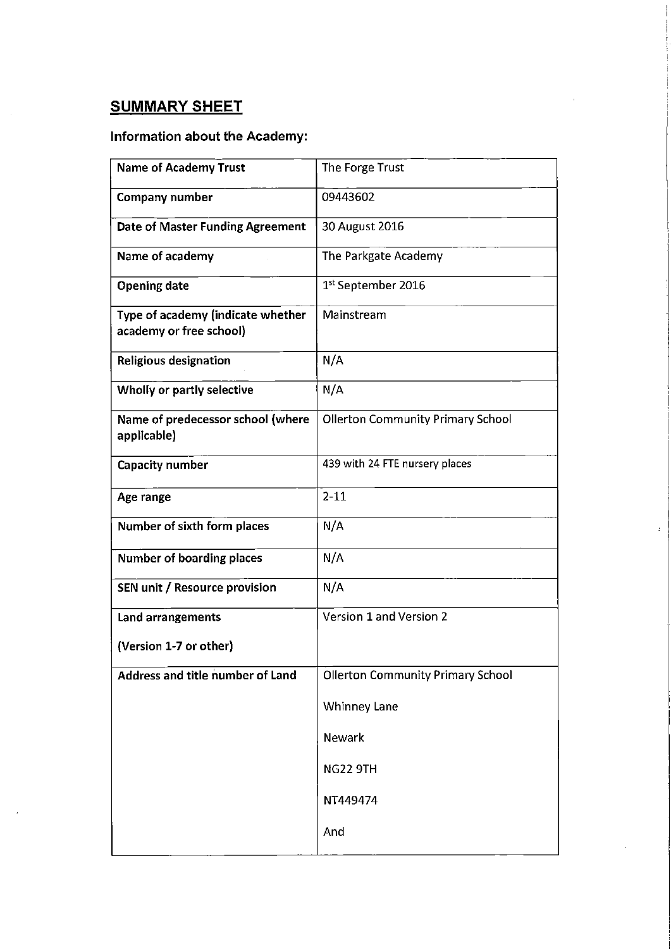# **SUMMARY SHEET**

# Information about the Academy:

| <b>Name of Academy Trust</b>                                 | The Forge Trust                          |
|--------------------------------------------------------------|------------------------------------------|
| Company number                                               | 09443602                                 |
| Date of Master Funding Agreement                             | 30 August 2016                           |
| Name of academy                                              | The Parkgate Academy                     |
| <b>Opening date</b>                                          | 1 <sup>st</sup> September 2016           |
| Type of academy (indicate whether<br>academy or free school) | Mainstream                               |
| Religious designation                                        | N/A                                      |
| Wholly or partly selective                                   | N/A                                      |
| Name of predecessor school (where<br>applicable)             | <b>Ollerton Community Primary School</b> |
| Capacity number                                              | 439 with 24 FTE nursery places           |
| Age range                                                    | $2 - 11$                                 |
| Number of sixth form places                                  | N/A                                      |
| <b>Number of boarding places</b>                             | N/A                                      |
| SEN unit / Resource provision                                | N/A                                      |
| Land arrangements                                            | Version 1 and Version 2                  |
| (Version 1-7 or other)                                       |                                          |
| <b>Address and title number of Land</b>                      | <b>Ollerton Community Primary School</b> |
|                                                              | <b>Whinney Lane</b>                      |
|                                                              | Newark                                   |
|                                                              | <b>NG22 9TH</b>                          |
|                                                              | NT449474                                 |
|                                                              | And                                      |
|                                                              |                                          |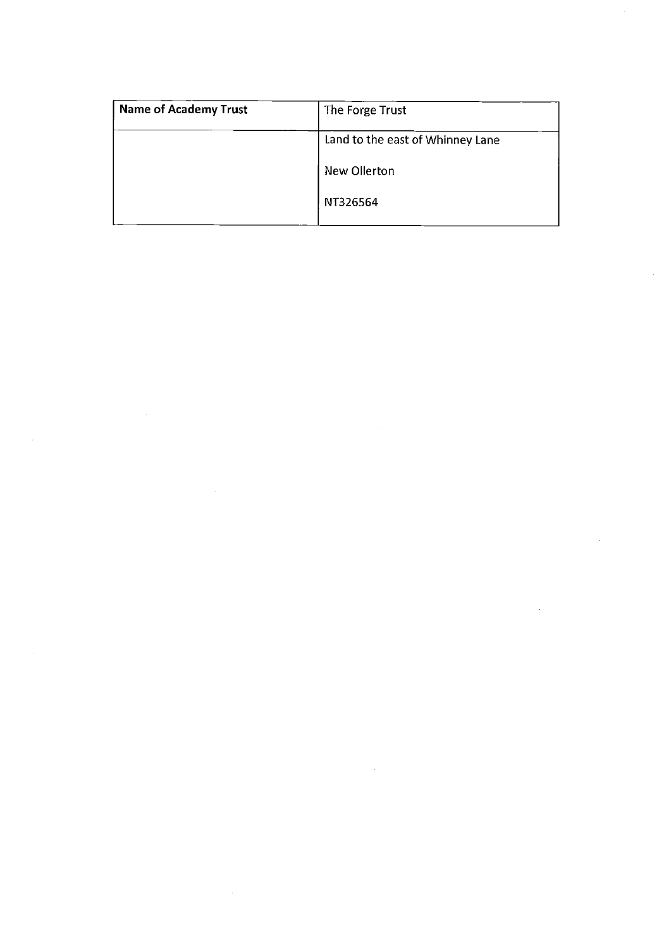| <b>Name of Academy Trust</b> | The Forge Trust                  |
|------------------------------|----------------------------------|
|                              | Land to the east of Whinney Lane |
|                              | New Ollerton                     |
|                              | NT326564                         |
|                              |                                  |

 $\mathcal{L}(\mathcal{L}(\mathcal{L}))$  . The contract of the contract of the contract of the contract of the contract of the contract of the contract of the contract of the contract of the contract of the contract of the contract of the co

 $\label{eq:2.1} \frac{1}{2} \sum_{i=1}^n \frac{1}{2} \sum_{j=1}^n \frac{1}{2} \sum_{j=1}^n \frac{1}{2} \sum_{j=1}^n \frac{1}{2} \sum_{j=1}^n \frac{1}{2} \sum_{j=1}^n \frac{1}{2} \sum_{j=1}^n \frac{1}{2} \sum_{j=1}^n \frac{1}{2} \sum_{j=1}^n \frac{1}{2} \sum_{j=1}^n \frac{1}{2} \sum_{j=1}^n \frac{1}{2} \sum_{j=1}^n \frac{1}{2} \sum_{j=1}^n \frac{$